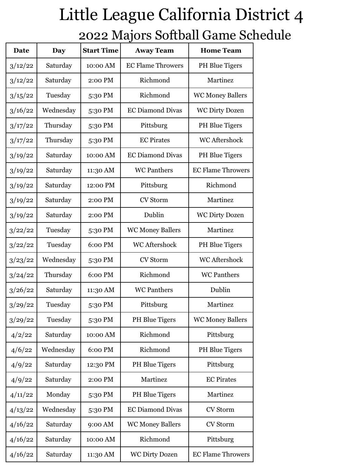### Little League California District 4

2022 Majors Softball Game Schedule

| <b>Date</b> | <b>Day</b> | <b>Start Time</b> | <b>Away Team</b>         | <b>Home Team</b>         |
|-------------|------------|-------------------|--------------------------|--------------------------|
| 3/12/22     | Saturday   | 10:00 AM          | <b>EC Flame Throwers</b> | PH Blue Tigers           |
| 3/12/22     | Saturday   | 2:00 PM           | Richmond                 | Martinez                 |
| 3/15/22     | Tuesday    | 5:30 PM           | Richmond                 | <b>WC Money Ballers</b>  |
| 3/16/22     | Wednesday  | 5:30 PM           | <b>EC Diamond Divas</b>  | <b>WC Dirty Dozen</b>    |
| 3/17/22     | Thursday   | 5:30 PM           | Pittsburg                | <b>PH Blue Tigers</b>    |
| 3/17/22     | Thursday   | 5:30 PM           | <b>EC Pirates</b>        | <b>WC Aftershock</b>     |
| 3/19/22     | Saturday   | 10:00 AM          | <b>EC Diamond Divas</b>  | <b>PH Blue Tigers</b>    |
| 3/19/22     | Saturday   | 11:30 AM          | <b>WC Panthers</b>       | <b>EC Flame Throwers</b> |
| 3/19/22     | Saturday   | 12:00 PM          | Pittsburg                | Richmond                 |
| 3/19/22     | Saturday   | 2:00 PM           | <b>CV Storm</b>          | Martinez                 |
| 3/19/22     | Saturday   | 2:00 PM           | Dublin                   | <b>WC Dirty Dozen</b>    |
| 3/22/22     | Tuesday    | 5:30 PM           | <b>WC Money Ballers</b>  | Martinez                 |
| 3/22/22     | Tuesday    | 6:00 PM           | <b>WC Aftershock</b>     | PH Blue Tigers           |
| 3/23/22     | Wednesday  | 5:30 PM           | <b>CV Storm</b>          | <b>WC Aftershock</b>     |
| 3/24/22     | Thursday   | $6:00$ PM         | Richmond                 | <b>WC Panthers</b>       |
| 3/26/22     | Saturday   | 11:30 AM          | <b>WC Panthers</b>       | Dublin                   |
| 3/29/22     | Tuesday    | 5:30 PM           | Pittsburg                | Martinez                 |
| 3/29/22     | Tuesday    | 5:30 PM           | PH Blue Tigers           | <b>WC Money Ballers</b>  |
| 4/2/22      | Saturday   | 10:00 AM          | Richmond                 | Pittsburg                |
| 4/6/22      | Wednesday  | 6:00 PM           | Richmond                 | <b>PH Blue Tigers</b>    |
| 4/9/22      | Saturday   | 12:30 PM          | PH Blue Tigers           | Pittsburg                |
| 4/9/22      | Saturday   | 2:00 PM           | Martinez                 | <b>EC Pirates</b>        |
| 4/11/22     | Monday     | 5:30 PM           | PH Blue Tigers           | Martinez                 |
| 4/13/22     | Wednesday  | 5:30 PM           | <b>EC Diamond Divas</b>  | <b>CV Storm</b>          |
| 4/16/22     | Saturday   | 9:00 AM           | <b>WC Money Ballers</b>  | <b>CV Storm</b>          |
| 4/16/22     | Saturday   | 10:00 AM          | Richmond                 | Pittsburg                |
| 4/16/22     | Saturday   | 11:30 AM          | <b>WC Dirty Dozen</b>    | <b>EC Flame Throwers</b> |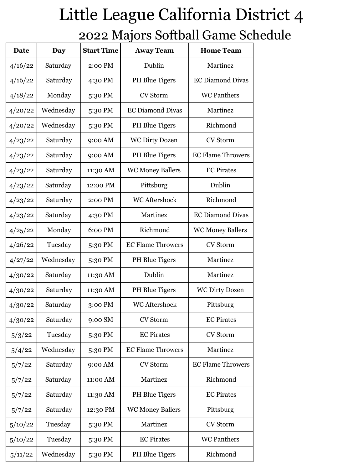# Little League California District 4

2022 Majors Softball Game Schedule

| <b>Date</b> | <b>Day</b> | <b>Start Time</b> | <b>Away Team</b>         | <b>Home Team</b>         |
|-------------|------------|-------------------|--------------------------|--------------------------|
| 4/16/22     | Saturday   | 2:00 PM           | Dublin                   | Martinez                 |
| 4/16/22     | Saturday   | 4:30 PM           | PH Blue Tigers           | <b>EC Diamond Divas</b>  |
| 4/18/22     | Monday     | 5:30 PM           | <b>CV Storm</b>          | <b>WC Panthers</b>       |
| 4/20/22     | Wednesday  | 5:30 PM           | <b>EC Diamond Divas</b>  | Martinez                 |
| 4/20/22     | Wednesday  | 5:30 PM           | PH Blue Tigers           | Richmond                 |
| 4/23/22     | Saturday   | $9:00$ AM         | <b>WC Dirty Dozen</b>    | <b>CV Storm</b>          |
| 4/23/22     | Saturday   | 9:00 AM           | PH Blue Tigers           | <b>EC Flame Throwers</b> |
| 4/23/22     | Saturday   | 11:30 AM          | <b>WC Money Ballers</b>  | <b>EC Pirates</b>        |
| 4/23/22     | Saturday   | 12:00 PM          | Pittsburg                | Dublin                   |
| 4/23/22     | Saturday   | 2:00 PM           | <b>WC Aftershock</b>     | Richmond                 |
| 4/23/22     | Saturday   | 4:30 PM           | Martinez                 | <b>EC Diamond Divas</b>  |
| 4/25/22     | Monday     | 6:00 PM           | Richmond                 | <b>WC Money Ballers</b>  |
| 4/26/22     | Tuesday    | 5:30 PM           | <b>EC Flame Throwers</b> | <b>CV Storm</b>          |
| 4/27/22     | Wednesday  | 5:30 PM           | PH Blue Tigers           | Martinez                 |
| 4/30/22     | Saturday   | 11:30 AM          | Dublin                   | Martinez                 |
| 4/30/22     | Saturday   | 11:30 AM          | PH Blue Tigers           | <b>WC Dirty Dozen</b>    |
| 4/30/22     | Saturday   | 3:00 PM           | <b>WC Aftershock</b>     | Pittsburg                |
| 4/30/22     | Saturday   | 9:00 SM           | <b>CV Storm</b>          | <b>EC Pirates</b>        |
| 5/3/22      | Tuesday    | 5:30 PM           | <b>EC Pirates</b>        | <b>CV Storm</b>          |
| 5/4/22      | Wednesday  | 5:30 PM           | <b>EC Flame Throwers</b> | Martinez                 |
| 5/7/22      | Saturday   | 9:00 AM           | <b>CV Storm</b>          | <b>EC Flame Throwers</b> |
| 5/7/22      | Saturday   | 11:00 AM          | Martinez                 | Richmond                 |
| 5/7/22      | Saturday   | 11:30 AM          | PH Blue Tigers           | <b>EC Pirates</b>        |
| 5/7/22      | Saturday   | 12:30 PM          | <b>WC Money Ballers</b>  | Pittsburg                |
| 5/10/22     | Tuesday    | 5:30 PM           | Martinez                 | <b>CV Storm</b>          |
| 5/10/22     | Tuesday    | 5:30 PM           | <b>EC Pirates</b>        | <b>WC Panthers</b>       |
| 5/11/22     | Wednesday  | 5:30 PM           | PH Blue Tigers           | Richmond                 |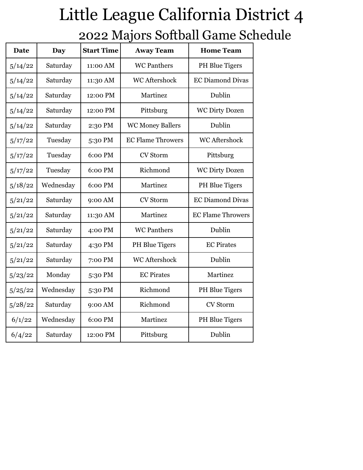# Little League California District 4

2022 Majors Softball Game Schedule

| <b>Date</b> | <b>Day</b> | <b>Start Time</b> | <b>Away Team</b>         | <b>Home Team</b>         |
|-------------|------------|-------------------|--------------------------|--------------------------|
| 5/14/22     | Saturday   | 11:00 AM          | <b>WC Panthers</b>       | PH Blue Tigers           |
| 5/14/22     | Saturday   | 11:30 AM          | <b>WC Aftershock</b>     | <b>EC Diamond Divas</b>  |
| 5/14/22     | Saturday   | 12:00 PM          | Martinez                 | Dublin                   |
| 5/14/22     | Saturday   | 12:00 PM          | Pittsburg                | <b>WC Dirty Dozen</b>    |
| 5/14/22     | Saturday   | 2:30 PM           | <b>WC Money Ballers</b>  | Dublin                   |
| 5/17/22     | Tuesday    | 5:30 PM           | <b>EC Flame Throwers</b> | <b>WC Aftershock</b>     |
| 5/17/22     | Tuesday    | 6:00 PM           | <b>CV Storm</b>          | Pittsburg                |
| 5/17/22     | Tuesday    | 6:00 PM           | Richmond                 | <b>WC Dirty Dozen</b>    |
| 5/18/22     | Wednesday  | 6:00 PM           | Martinez                 | PH Blue Tigers           |
| 5/21/22     | Saturday   | 9:00 AM           | <b>CV Storm</b>          | <b>EC Diamond Divas</b>  |
| 5/21/22     | Saturday   | 11:30 AM          | Martinez                 | <b>EC Flame Throwers</b> |
| 5/21/22     | Saturday   | 4:00 PM           | <b>WC Panthers</b>       | Dublin                   |
| 5/21/22     | Saturday   | 4:30 PM           | PH Blue Tigers           | <b>EC Pirates</b>        |
| 5/21/22     | Saturday   | 7:00 PM           | <b>WC Aftershock</b>     | Dublin                   |
| 5/23/22     | Monday     | 5:30 PM           | <b>EC Pirates</b>        | Martinez                 |
| 5/25/22     | Wednesday  | 5:30 PM           | Richmond                 | PH Blue Tigers           |
| 5/28/22     | Saturday   | 9:00 AM           | Richmond                 | <b>CV Storm</b>          |
| 6/1/22      | Wednesday  | 6:00 PM           | Martinez                 | PH Blue Tigers           |
| 6/4/22      | Saturday   | 12:00 PM          | Pittsburg                | Dublin                   |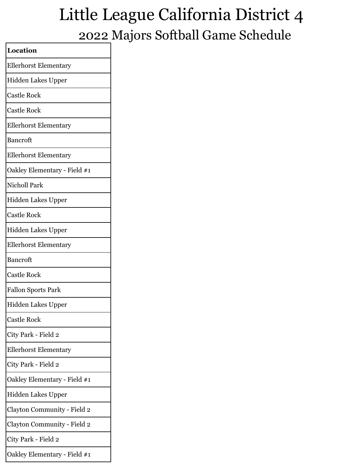#### Little League California District 4 2022 Majors Softball Game Schedule

| Location                     |
|------------------------------|
| <b>Ellerhorst Elementary</b> |
| <b>Hidden Lakes Upper</b>    |
| <b>Castle Rock</b>           |
| <b>Castle Rock</b>           |
| <b>Ellerhorst Elementary</b> |
| Bancroft                     |
| <b>Ellerhorst Elementary</b> |
| Oakley Elementary - Field #1 |
| <b>Nicholl Park</b>          |
| Hidden Lakes Upper           |
| <b>Castle Rock</b>           |
| Hidden Lakes Upper           |
| <b>Ellerhorst Elementary</b> |
| Bancroft                     |
| <b>Castle Rock</b>           |
| <b>Fallon Sports Park</b>    |
| <b>Hidden Lakes Upper</b>    |
| <b>Castle Rock</b>           |
| City Park - Field 2          |
| Ellerhorst Elementary        |
| City Park - Field 2          |
| Oakley Elementary - Field #1 |
| Hidden Lakes Upper           |
| Clayton Community - Field 2  |
| Clayton Community - Field 2  |
| City Park - Field 2          |
| Oakley Elementary - Field #1 |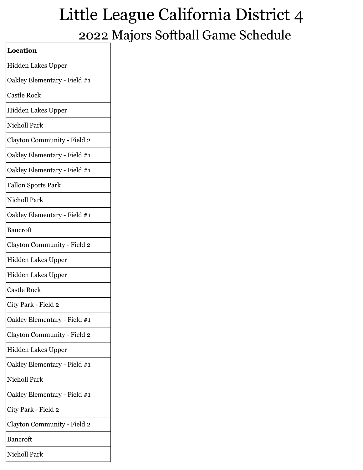### Little League California District 4 2022 Majors Softball Game Schedule

| Location                     |
|------------------------------|
| <b>Hidden Lakes Upper</b>    |
| Oakley Elementary - Field #1 |
| <b>Castle Rock</b>           |
| Hidden Lakes Upper           |
| <b>Nicholl Park</b>          |
| Clayton Community - Field 2  |
| Oakley Elementary - Field #1 |
| Oakley Elementary - Field #1 |
| <b>Fallon Sports Park</b>    |
| <b>Nicholl Park</b>          |
| Oakley Elementary - Field #1 |
| <b>Bancroft</b>              |
| Clayton Community - Field 2  |
| Hidden Lakes Upper           |
| Hidden Lakes Upper           |
| <b>Castle Rock</b>           |
| City Park - Field 2          |
| Oakley Elementary - Field #1 |
| Clayton Community - Field 2  |
| Hidden Lakes Upper           |
| Oakley Elementary - Field #1 |
| <b>Nicholl Park</b>          |
| Oakley Elementary - Field #1 |
| City Park - Field 2          |
| Clayton Community - Field 2  |
| <b>Bancroft</b>              |
| Nicholl Park                 |